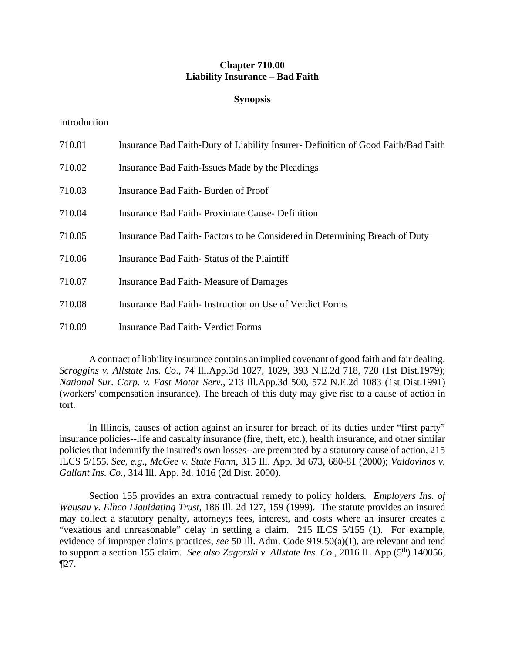# **Chapter 710.00 Liability Insurance – Bad Faith**

## **Synopsis**

### Introduction

| 710.01 | Insurance Bad Faith-Duty of Liability Insurer- Definition of Good Faith/Bad Faith |
|--------|-----------------------------------------------------------------------------------|
| 710.02 | Insurance Bad Faith-Issues Made by the Pleadings                                  |
| 710.03 | Insurance Bad Faith-Burden of Proof                                               |
| 710.04 | <b>Insurance Bad Faith-Proximate Cause- Definition</b>                            |
| 710.05 | Insurance Bad Faith-Factors to be Considered in Determining Breach of Duty        |
| 710.06 | Insurance Bad Faith Status of the Plaintiff                                       |
| 710.07 | Insurance Bad Faith Measure of Damages                                            |
| 710.08 | Insurance Bad Faith Instruction on Use of Verdict Forms                           |
| 710.09 | <b>Insurance Bad Faith- Verdict Forms</b>                                         |

A contract of liability insurance contains an implied covenant of good faith and fair dealing. *Scroggins v. Allstate Ins. Co*., 74 Ill.App.3d 1027, 1029, 393 N.E.2d 718, 720 (1st Dist.1979); *National Sur. Corp. v. Fast Motor Serv.*, 213 Ill.App.3d 500, 572 N.E.2d 1083 (1st Dist.1991) (workers' compensation insurance). The breach of this duty may give rise to a cause of action in tort.

In Illinois, causes of action against an insurer for breach of its duties under "first party" insurance policies--life and casualty insurance (fire, theft, etc.), health insurance, and other similar policies that indemnify the insured's own losses--are preempted by a statutory cause of action, 215 ILCS 5/155. *See, e.g.*, *McGee v. State Farm*, 315 Ill. App. 3d 673, 680-81 (2000); *Valdovinos v. Gallant Ins. Co.*, 314 Ill. App. 3d. 1016 (2d Dist. 2000).

Section 155 provides an extra contractual remedy to policy holders*. Employers Ins. of Wausau v. Elhco Liquidating Trust*, 186 Ill. 2d 127, 159 (1999). The statute provides an insured may collect a statutory penalty, attorney;s fees, interest, and costs where an insurer creates a "vexatious and unreasonable" delay in settling a claim. 215 ILCS 5/155 (1). For example, evidence of improper claims practices, *see* 50 Ill. Adm. Code 919.50(a)(1), are relevant and tend to support a section 155 claim. *See also Zagorski v. Allstate Ins. Co.*, 2016 IL App (5<sup>th</sup>) 140056, ¶27.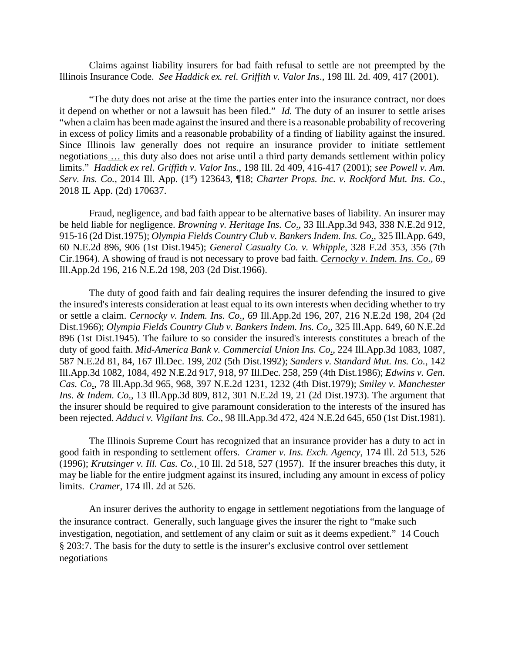Claims against liability insurers for bad faith refusal to settle are not preempted by the Illinois Insurance Code. *See Haddick ex. rel. Griffith v. Valor Ins*., 198 Ill. 2d. 409, 417 (2001).

"The duty does not arise at the time the parties enter into the insurance contract, nor does it depend on whether or not a lawsuit has been filed." *Id.* The duty of an insurer to settle arises "when a claim has been made against the insured and there is a reasonable probability of recovering in excess of policy limits and a reasonable probability of a finding of liability against the insured. Since Illinois law generally does not require an insurance provider to initiate settlement negotiations … this duty also does not arise until a third party demands settlement within policy limits." *Haddick ex rel. Griffith v. Valor Ins.*, 198 Ill. 2d 409, 416-417 (2001); *see Powell v. Am. Serv. Ins. Co.*, 2014 Ill. App. (1st) 123643, ¶18; *Charter Props. Inc. v. Rockford Mut. Ins. Co.*, 2018 IL App. (2d) 170637.

Fraud, negligence, and bad faith appear to be alternative bases of liability. An insurer may be held liable for negligence. *Browning v. Heritage Ins. Co*., 33 Ill.App.3d 943, 338 N.E.2d 912, 915-16 (2d Dist.1975); *Olympia Fields Country Club v. Bankers Indem. Ins. Co*., 325 Ill.App. 649, 60 N.E.2d 896, 906 (1st Dist.1945); *General Casualty Co. v. Whipple*, 328 F.2d 353, 356 (7th Cir.1964). A showing of fraud is not necessary to prove bad faith. *Cernocky v. Indem. Ins. Co*., 69 Ill.App.2d 196, 216 N.E.2d 198, 203 (2d Dist.1966).

The duty of good faith and fair dealing requires the insurer defending the insured to give the insured's interests consideration at least equal to its own interests when deciding whether to try or settle a claim. *Cernocky v. Indem. Ins. Co*., 69 Ill.App.2d 196, 207, 216 N.E.2d 198, 204 (2d Dist.1966); *Olympia Fields Country Club v. Bankers Indem. Ins. Co*., 325 Ill.App. 649, 60 N.E.2d 896 (1st Dist.1945). The failure to so consider the insured's interests constitutes a breach of the duty of good faith. *Mid-America Bank v. Commercial Union Ins. Co*., 224 Ill.App.3d 1083, 1087, 587 N.E.2d 81, 84, 167 Ill.Dec. 199, 202 (5th Dist.1992); *Sanders v. Standard Mut. Ins. Co.*, 142 Ill.App.3d 1082, 1084, 492 N.E.2d 917, 918, 97 Ill.Dec. 258, 259 (4th Dist.1986); *Edwins v. Gen. Cas. Co*., 78 Ill.App.3d 965, 968, 397 N.E.2d 1231, 1232 (4th Dist.1979); *Smiley v. Manchester Ins. & Indem. Co*., 13 Ill.App.3d 809, 812, 301 N.E.2d 19, 21 (2d Dist.1973). The argument that the insurer should be required to give paramount consideration to the interests of the insured has been rejected. *Adduci v. Vigilant Ins. Co*., 98 Ill.App.3d 472, 424 N.E.2d 645, 650 (1st Dist.1981).

The Illinois Supreme Court has recognized that an insurance provider has a duty to act in good faith in responding to settlement offers. *Cramer v. Ins. Exch. Agency*, 174 Ill. 2d 513, 526 (1996); *Krutsinger v. Ill. Cas. Co.*, 10 Ill. 2d 518, 527 (1957). If the insurer breaches this duty, it may be liable for the entire judgment against its insured, including any amount in excess of policy limits. *Cramer*, 174 Ill. 2d at 526.

 An insurer derives the authority to engage in settlement negotiations from the language of the insurance contract. Generally, such language gives the insurer the right to "make such investigation, negotiation, and settlement of any claim or suit as it deems expedient." 14 Couch § 203:7. The basis for the duty to settle is the insurer's exclusive control over settlement negotiations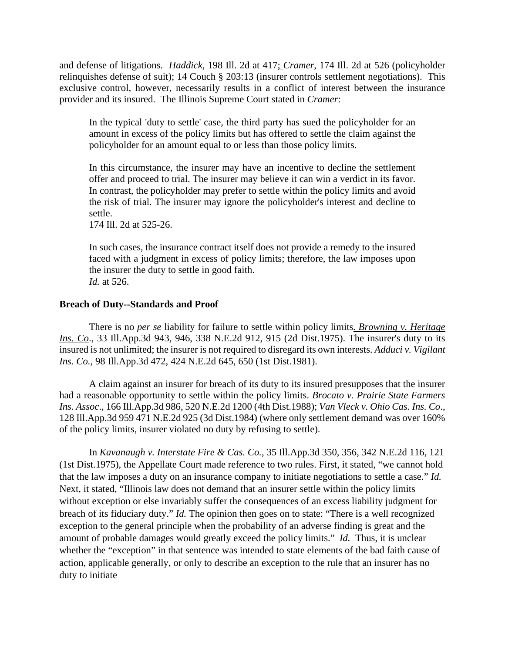and defense of litigations. *Haddick*, 198 Ill. 2d at 417; *Cramer*, 174 Ill. 2d at 526 (policyholder relinquishes defense of suit); 14 Couch § 203:13 (insurer controls settlement negotiations). This exclusive control, however, necessarily results in a conflict of interest between the insurance provider and its insured. The Illinois Supreme Court stated in *Cramer*:

In the typical 'duty to settle' case, the third party has sued the policyholder for an amount in excess of the policy limits but has offered to settle the claim against the policyholder for an amount equal to or less than those policy limits.

In this circumstance, the insurer may have an incentive to decline the settlement offer and proceed to trial. The insurer may believe it can win a verdict in its favor. In contrast, the policyholder may prefer to settle within the policy limits and avoid the risk of trial. The insurer may ignore the policyholder's interest and decline to settle.

174 Ill. 2d at 525-26.

In such cases, the insurance contract itself does not provide a remedy to the insured faced with a judgment in excess of policy limits; therefore, the law imposes upon the insurer the duty to settle in good faith. *Id.* at 526.

## **Breach of Duty--Standards and Proof**

There is no *per se* liability for failure to settle within policy limits*. Browning v. Heritage Ins. Co*., 33 Ill.App.3d 943, 946, 338 N.E.2d 912, 915 (2d Dist.1975). The insurer's duty to its insured is not unlimited; the insurer is not required to disregard its own interests. *Adduci v. Vigilant Ins. Co.,* 98 Ill.App.3d 472, 424 N.E.2d 645, 650 (1st Dist.1981).

A claim against an insurer for breach of its duty to its insured presupposes that the insurer had a reasonable opportunity to settle within the policy limits. *Brocato v. Prairie State Farmers Ins. Assoc*., 166 Ill.App.3d 986, 520 N.E.2d 1200 (4th Dist.1988); *Van Vleck v. Ohio Cas. Ins. Co*., 128 Ill.App.3d 959 471 N.E.2d 925 (3d Dist.1984) (where only settlement demand was over 160% of the policy limits, insurer violated no duty by refusing to settle).

In *Kavanaugh v. Interstate Fire & Cas. Co.*, 35 Ill.App.3d 350, 356, 342 N.E.2d 116, 121 (1st Dist.1975), the Appellate Court made reference to two rules. First, it stated, "we cannot hold that the law imposes a duty on an insurance company to initiate negotiations to settle a case." *Id.* Next, it stated, "Illinois law does not demand that an insurer settle within the policy limits without exception or else invariably suffer the consequences of an excess liability judgment for breach of its fiduciary duty." *Id.* The opinion then goes on to state: "There is a well recognized exception to the general principle when the probability of an adverse finding is great and the amount of probable damages would greatly exceed the policy limits." *Id.* Thus, it is unclear whether the "exception" in that sentence was intended to state elements of the bad faith cause of action, applicable generally, or only to describe an exception to the rule that an insurer has no duty to initiate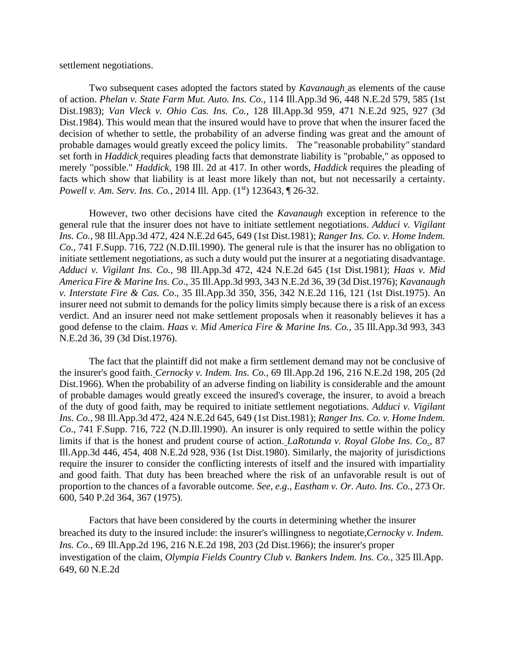settlement negotiations.

Two subsequent cases adopted the factors stated by *Kavanaugh* as elements of the cause of action. *Phelan v. State Farm Mut. Auto. Ins. Co.*, 114 Ill.App.3d 96, 448 N.E.2d 579, 585 (1st Dist.1983); *Van Vleck v. Ohio Cas. Ins. Co.*, 128 Ill.App.3d 959, 471 N.E.2d 925, 927 (3d Dist.1984). This would mean that the insured would have to prove that when the insurer faced the decision of whether to settle, the probability of an adverse finding was great and the amount of probable damages would greatly exceed the policy limits. The "reasonable probability" standard set forth in *Haddick* requires pleading facts that demonstrate liability is "probable," as opposed to merely "possible." *Haddick,* 198 Ill. 2d at 417. In other words, *Haddick* requires the pleading of facts which show that liability is at least more likely than not, but not necessarily a certainty. *Powell v. Am. Serv. Ins. Co.*, 2014 Ill. App. (1<sup>st</sup>) 123643, ¶ 26-32.

However, two other decisions have cited the *Kavanaugh* exception in reference to the general rule that the insurer does not have to initiate settlement negotiations. *Adduci v. Vigilant Ins. Co.*, 98 Ill.App.3d 472, 424 N.E.2d 645, 649 (1st Dist.1981); *Ranger Ins. Co. v. Home Indem. Co*., 741 F.Supp. 716, 722 (N.D.Ill.1990). The general rule is that the insurer has no obligation to initiate settlement negotiations, as such a duty would put the insurer at a negotiating disadvantage. *Adduci v. Vigilant Ins. Co.*, 98 Ill.App.3d 472, 424 N.E.2d 645 (1st Dist.1981); *Haas v. Mid America Fire & Marine Ins. Co*., 35 Ill.App.3d 993, 343 N.E.2d 36, 39 (3d Dist.1976); *Kavanaugh v. Interstate Fire & Cas. Co*., 35 Ill.App.3d 350, 356, 342 N.E.2d 116, 121 (1st Dist.1975). An insurer need not submit to demands for the policy limits simply because there is a risk of an excess verdict. And an insurer need not make settlement proposals when it reasonably believes it has a good defense to the claim. *Haas v. Mid America Fire & Marine Ins. Co.*, 35 Ill.App.3d 993, 343 N.E.2d 36, 39 (3d Dist.1976).

The fact that the plaintiff did not make a firm settlement demand may not be conclusive of the insurer's good faith. *Cernocky v. Indem. Ins. Co.*, 69 Ill.App.2d 196, 216 N.E.2d 198, 205 (2d Dist.1966). When the probability of an adverse finding on liability is considerable and the amount of probable damages would greatly exceed the insured's coverage, the insurer, to avoid a breach of the duty of good faith, may be required to initiate settlement negotiations*. Adduci v. Vigilant Ins. Co.*, 98 Ill.App.3d 472, 424 N.E.2d 645, 649 (1st Dist.1981); *Ranger Ins. Co. v. Home Indem. Co*., 741 F.Supp. 716, 722 (N.D.Ill.1990). An insurer is only required to settle within the policy limits if that is the honest and prudent course of action. *LaRotunda v. Royal Globe Ins. Co*., 87 Ill.App.3d 446, 454, 408 N.E.2d 928, 936 (1st Dist.1980). Similarly, the majority of jurisdictions require the insurer to consider the conflicting interests of itself and the insured with impartiality and good faith. That duty has been breached where the risk of an unfavorable result is out of proportion to the chances of a favorable outcome. *See, e.g*., *Eastham v. Or. Auto. Ins. Co.*, 273 Or. 600, 540 P.2d 364, 367 (1975).

 Factors that have been considered by the courts in determining whether the insurer breached its duty to the insured include: the insurer's willingness to negotiate,*Cernocky v. Indem. Ins. Co.*, 69 Ill.App.2d 196, 216 N.E.2d 198, 203 (2d Dist.1966); the insurer's proper investigation of the claim, *Olympia Fields Country Club v. Bankers Indem. Ins. Co.*, 325 Ill.App. 649, 60 N.E.2d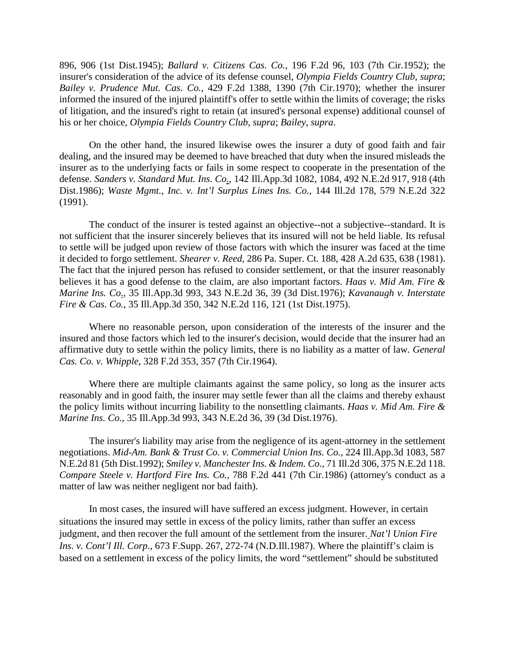896, 906 (1st Dist.1945); *Ballard v. Citizens Cas. Co.*, 196 F.2d 96, 103 (7th Cir.1952); the insurer's consideration of the advice of its defense counsel, *Olympia Fields Country Club*, *supra*; *Bailey v. Prudence Mut. Cas. Co.*, 429 F.2d 1388, 1390 (7th Cir.1970); whether the insurer informed the insured of the injured plaintiff's offer to settle within the limits of coverage; the risks of litigation, and the insured's right to retain (at insured's personal expense) additional counsel of his or her choice, *Olympia Fields Country Club*, *supra*; *Bailey*, *supra*.

On the other hand, the insured likewise owes the insurer a duty of good faith and fair dealing, and the insured may be deemed to have breached that duty when the insured misleads the insurer as to the underlying facts or fails in some respect to cooperate in the presentation of the defense. *Sanders v. Standard Mut. Ins. Co*., 142 Ill.App.3d 1082, 1084, 492 N.E.2d 917, 918 (4th Dist.1986); *Waste Mgmt., Inc. v. Int'l Surplus Lines Ins. Co.*, 144 Ill.2d 178, 579 N.E.2d 322 (1991).

The conduct of the insurer is tested against an objective--not a subjective--standard. It is not sufficient that the insurer sincerely believes that its insured will not be held liable. Its refusal to settle will be judged upon review of those factors with which the insurer was faced at the time it decided to forgo settlement. *Shearer v. Reed*, 286 Pa. Super. Ct. 188, 428 A.2d 635, 638 (1981). The fact that the injured person has refused to consider settlement, or that the insurer reasonably believes it has a good defense to the claim, are also important factors. *Haas v. Mid Am. Fire & Marine Ins. Co*., 35 Ill.App.3d 993, 343 N.E.2d 36, 39 (3d Dist.1976); *Kavanaugh v. Interstate Fire & Cas. Co.*, 35 Ill.App.3d 350, 342 N.E.2d 116, 121 (1st Dist.1975).

Where no reasonable person, upon consideration of the interests of the insurer and the insured and those factors which led to the insurer's decision, would decide that the insurer had an affirmative duty to settle within the policy limits, there is no liability as a matter of law*. General Cas. Co. v. Whipple*, 328 F.2d 353, 357 (7th Cir.1964).

Where there are multiple claimants against the same policy, so long as the insurer acts reasonably and in good faith, the insurer may settle fewer than all the claims and thereby exhaust the policy limits without incurring liability to the nonsettling claimants. *Haas v. Mid Am. Fire & Marine Ins. Co.*, 35 Ill.App.3d 993, 343 N.E.2d 36, 39 (3d Dist.1976).

 The insurer's liability may arise from the negligence of its agent-attorney in the settlement negotiations. *Mid-Am. Bank & Trust Co. v. Commercial Union Ins. Co.*, 224 Ill.App.3d 1083, 587 N.E.2d 81 (5th Dist.1992); *Smiley v. Manchester Ins. & Indem. Co*., 71 Ill.2d 306, 375 N.E.2d 118. *Compare Steele v. Hartford Fire Ins. Co.*, 788 F.2d 441 (7th Cir.1986) (attorney's conduct as a matter of law was neither negligent nor bad faith).

 In most cases, the insured will have suffered an excess judgment. However, in certain situations the insured may settle in excess of the policy limits, rather than suffer an excess judgment, and then recover the full amount of the settlement from the insurer. *Nat'l Union Fire Ins. v. Cont'l Ill. Corp.*, 673 F.Supp. 267, 272-74 (N.D.Ill.1987). Where the plaintiff's claim is based on a settlement in excess of the policy limits, the word "settlement" should be substituted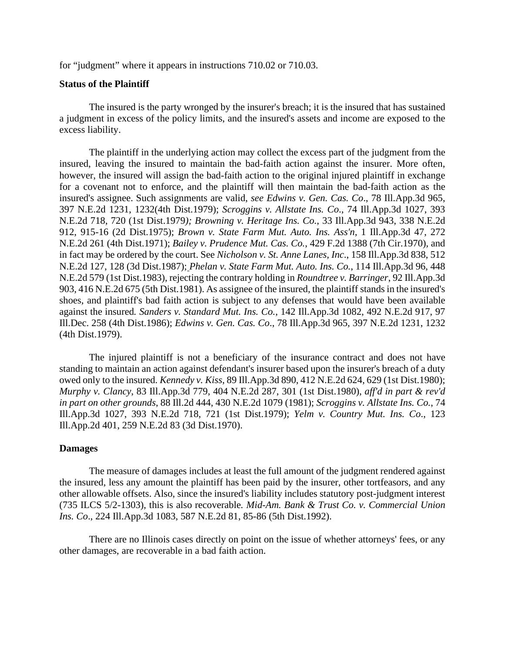for "judgment" where it appears in instructions 710.02 or 710.03.

#### **Status of the Plaintiff**

The insured is the party wronged by the insurer's breach; it is the insured that has sustained a judgment in excess of the policy limits, and the insured's assets and income are exposed to the excess liability.

 The plaintiff in the underlying action may collect the excess part of the judgment from the insured, leaving the insured to maintain the bad-faith action against the insurer. More often, however, the insured will assign the bad-faith action to the original injured plaintiff in exchange for a covenant not to enforce, and the plaintiff will then maintain the bad-faith action as the insured's assignee. Such assignments are valid, *see Edwins v. Gen. Cas. Co*., 78 Ill.App.3d 965, 397 N.E.2d 1231, 1232(4th Dist.1979); *Scroggins v. Allstate Ins. Co*., 74 Ill.App.3d 1027, 393 N.E.2d 718, 720 (1st Dist.1979*); Browning v. Heritage Ins. Co.*, 33 Ill.App.3d 943, 338 N.E.2d 912, 915-16 (2d Dist.1975); *Brown v. State Farm Mut. Auto. Ins. Ass'n*, 1 Ill.App.3d 47, 272 N.E.2d 261 (4th Dist.1971); *Bailey v. Prudence Mut. Cas. Co.*, 429 F.2d 1388 (7th Cir.1970), and in fact may be ordered by the court. See *Nicholson v. St. Anne Lanes, Inc*., 158 Ill.App.3d 838, 512 N.E.2d 127, 128 (3d Dist.1987); *Phelan v. State Farm Mut. Auto. Ins. Co.*, 114 Ill.App.3d 96, 448 N.E.2d 579 (1st Dist.1983), rejecting the contrary holding in *Roundtree v. Barringer*, 92 Ill.App.3d 903, 416 N.E.2d 675 (5th Dist.1981). As assignee of the insured, the plaintiff stands in the insured's shoes, and plaintiff's bad faith action is subject to any defenses that would have been available against the insured*. Sanders v. Standard Mut. Ins. Co.*, 142 Ill.App.3d 1082, 492 N.E.2d 917, 97 Ill.Dec. 258 (4th Dist.1986); *Edwins v. Gen. Cas. Co*., 78 Ill.App.3d 965, 397 N.E.2d 1231, 1232 (4th Dist.1979).

The injured plaintiff is not a beneficiary of the insurance contract and does not have standing to maintain an action against defendant's insurer based upon the insurer's breach of a duty owed only to the insured. *Kennedy v. Kiss*, 89 Ill.App.3d 890, 412 N.E.2d 624, 629 (1st Dist.1980); *Murphy v. Clancy*, 83 Ill.App.3d 779, 404 N.E.2d 287, 301 (1st Dist.1980), *aff'd in part & rev'd in part on other grounds*, 88 Ill.2d 444, 430 N.E.2d 1079 (1981); *Scroggins v. Allstate Ins. Co.*, 74 Ill.App.3d 1027, 393 N.E.2d 718, 721 (1st Dist.1979); *Yelm v. Country Mut. Ins. Co*., 123 Ill.App.2d 401, 259 N.E.2d 83 (3d Dist.1970).

### **Damages**

The measure of damages includes at least the full amount of the judgment rendered against the insured, less any amount the plaintiff has been paid by the insurer, other tortfeasors, and any other allowable offsets. Also, since the insured's liability includes statutory post-judgment interest (735 ILCS 5/2-1303), this is also recoverable*. Mid-Am. Bank & Trust Co. v. Commercial Union Ins. Co*., 224 Ill.App.3d 1083, 587 N.E.2d 81, 85-86 (5th Dist.1992).

There are no Illinois cases directly on point on the issue of whether attorneys' fees, or any other damages, are recoverable in a bad faith action.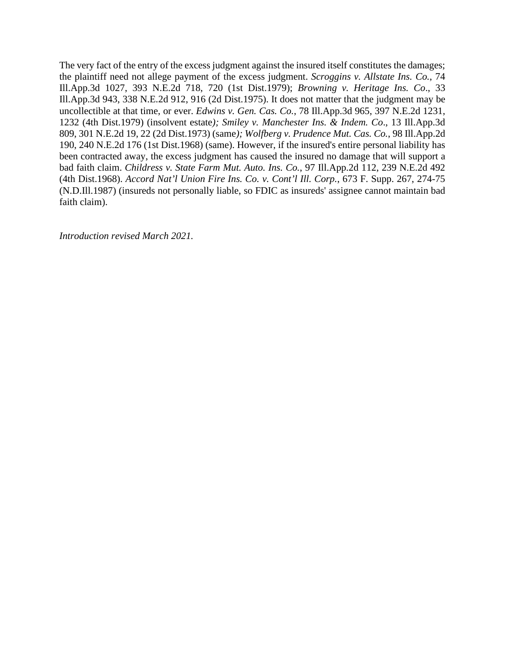The very fact of the entry of the excess judgment against the insured itself constitutes the damages; the plaintiff need not allege payment of the excess judgment. *Scroggins v. Allstate Ins. Co.*, 74 Ill.App.3d 1027, 393 N.E.2d 718, 720 (1st Dist.1979); *Browning v. Heritage Ins. Co*., 33 Ill.App.3d 943, 338 N.E.2d 912, 916 (2d Dist.1975). It does not matter that the judgment may be uncollectible at that time, or ever. *Edwins v. Gen. Cas. Co.*, 78 Ill.App.3d 965, 397 N.E.2d 1231, 1232 (4th Dist.1979) (insolvent estate*); Smiley v. Manchester Ins. & Indem. Co*., 13 Ill.App.3d 809, 301 N.E.2d 19, 22 (2d Dist.1973) (same*); Wolfberg v. Prudence Mut. Cas. Co.*, 98 Ill.App.2d 190, 240 N.E.2d 176 (1st Dist.1968) (same). However, if the insured's entire personal liability has been contracted away, the excess judgment has caused the insured no damage that will support a bad faith claim. *Childress v. State Farm Mut. Auto. Ins. Co.*, 97 Ill.App.2d 112, 239 N.E.2d 492 (4th Dist.1968). *Accord Nat'l Union Fire Ins. Co. v. Cont'l Ill. Corp.*, 673 F. Supp. 267, 274-75 (N.D.Ill.1987) (insureds not personally liable, so FDIC as insureds' assignee cannot maintain bad faith claim).

*Introduction revised March 2021.*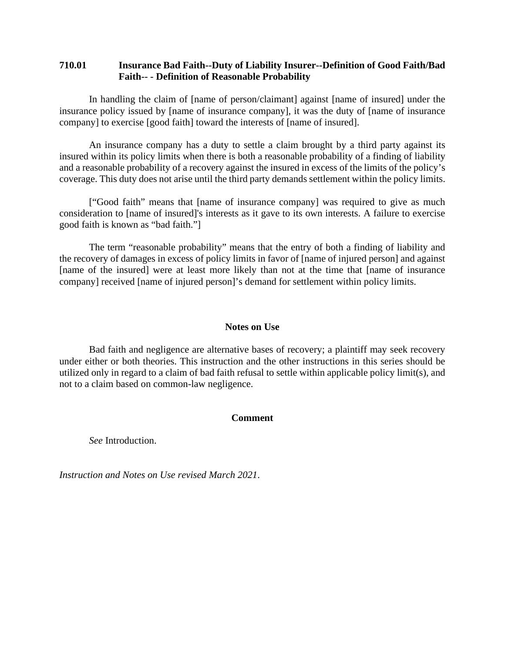## <span id="page-7-0"></span>**710.01 Insurance Bad Faith--Duty of Liability Insurer--Definition of Good Faith/Bad Faith-- - Definition of Reasonable Probability**

In handling the claim of [name of person/claimant] against [name of insured] under the insurance policy issued by [name of insurance company], it was the duty of [name of insurance company] to exercise [good faith] toward the interests of [name of insured].

An insurance company has a duty to settle a claim brought by a third party against its insured within its policy limits when there is both a reasonable probability of a finding of liability and a reasonable probability of a recovery against the insured in excess of the limits of the policy's coverage. This duty does not arise until the third party demands settlement within the policy limits.

["Good faith" means that [name of insurance company] was required to give as much consideration to [name of insured]'s interests as it gave to its own interests. A failure to exercise good faith is known as "bad faith."]

The term "reasonable probability" means that the entry of both a finding of liability and the recovery of damages in excess of policy limits in favor of [name of injured person] and against [name of the insured] were at least more likely than not at the time that [name of insurance company] received [name of injured person]'s demand for settlement within policy limits.

### **Notes on Use**

Bad faith and negligence are alternative bases of recovery; a plaintiff may seek recovery under either or both theories. This instruction and the other instructions in this series should be utilized only in regard to a claim of bad faith refusal to settle within applicable policy limit(s), and not to a claim based on common-law negligence.

#### **Comment**

*See* Introduction.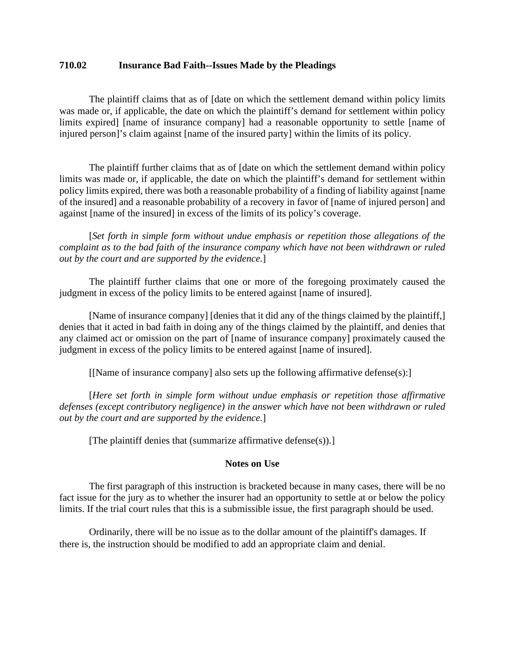### <span id="page-8-0"></span>**710.02 Insurance Bad Faith--Issues Made by the Pleadings**

The plaintiff claims that as of [date on which the settlement demand within policy limits was made or, if applicable, the date on which the plaintiff's demand for settlement within policy limits expired] [name of insurance company] had a reasonable opportunity to settle [name of injured person]'s claim against [name of the insured party] within the limits of its policy.

The plaintiff further claims that as of [date on which the settlement demand within policy limits was made or, if applicable, the date on which the plaintiff's demand for settlement within policy limits expired, there was both a reasonable probability of a finding of liability against [name of the insured] and a reasonable probability of a recovery in favor of [name of injured person] and against [name of the insured] in excess of the limits of its policy's coverage.

 [*Set forth in simple form without undue emphasis or repetition those allegations of the complaint as to the bad faith of the insurance company which have not been withdrawn or ruled out by the court and are supported by the evidence.*]

The plaintiff further claims that one or more of the foregoing proximately caused the judgment in excess of the policy limits to be entered against [name of insured].

[Name of insurance company] [denies that it did any of the things claimed by the plaintiff,] denies that it acted in bad faith in doing any of the things claimed by the plaintiff, and denies that any claimed act or omission on the part of [name of insurance company] proximately caused the judgment in excess of the policy limits to be entered against [name of insured].

[[Name of insurance company] also sets up the following affirmative defense(s):]

 [*Here set forth in simple form without undue emphasis or repetition those affirmative defenses (except contributory negligence) in the answer which have not been withdrawn or ruled out by the court and are supported by the evidence.*]

[The plaintiff denies that (summarize affirmative defense(s)).]

#### **Notes on Use**

 The first paragraph of this instruction is bracketed because in many cases, there will be no fact issue for the jury as to whether the insurer had an opportunity to settle at or below the policy limits. If the trial court rules that this is a submissible issue, the first paragraph should be used.

 Ordinarily, there will be no issue as to the dollar amount of the plaintiff's damages. If there is, the instruction should be modified to add an appropriate claim and denial.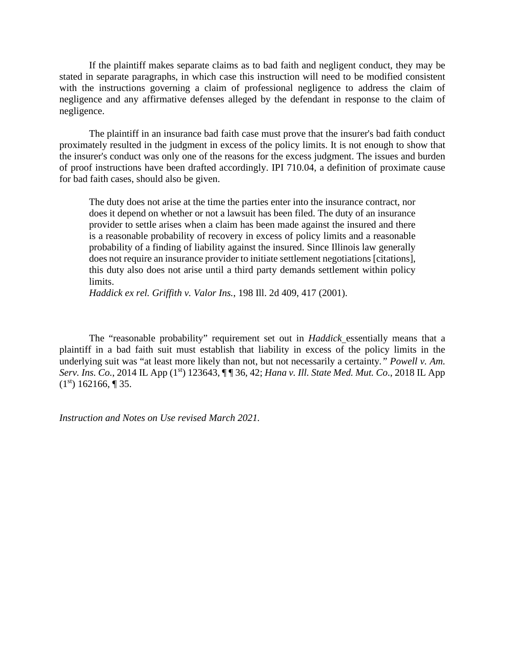If the plaintiff makes separate claims as to bad faith and negligent conduct, they may be stated in separate paragraphs, in which case this instruction will need to be modified consistent with the instructions governing a claim of professional negligence to address the claim of negligence and any affirmative defenses alleged by the defendant in response to the claim of negligence.

The plaintiff in an insurance bad faith case must prove that the insurer's bad faith conduct proximately resulted in the judgment in excess of the policy limits. It is not enough to show that the insurer's conduct was only one of the reasons for the excess judgment. The issues and burden of proof instructions have been drafted accordingly. IPI 710.04, a definition of proximate cause for bad faith cases, should also be given.

The duty does not arise at the time the parties enter into the insurance contract, nor does it depend on whether or not a lawsuit has been filed. The duty of an insurance provider to settle arises when a claim has been made against the insured and there is a reasonable probability of recovery in excess of policy limits and a reasonable probability of a finding of liability against the insured. Since Illinois law generally does not require an insurance provider to initiate settlement negotiations [citations], this duty also does not arise until a third party demands settlement within policy limits.

*Haddick ex rel. Griffith v. Valor Ins.*, 198 Ill. 2d 409, 417 (2001).

The "reasonable probability" requirement set out in *Haddick* essentially means that a plaintiff in a bad faith suit must establish that liability in excess of the policy limits in the underlying suit was "at least more likely than not, but not necessarily a certainty*." Powell v. Am. Serv. Ins. Co.*, 2014 IL App (1st) 123643, ¶ ¶ 36, 42; *Hana v. Ill. State Med. Mut. Co*., 2018 IL App  $(1<sup>st</sup>)$  162166, ¶ 35.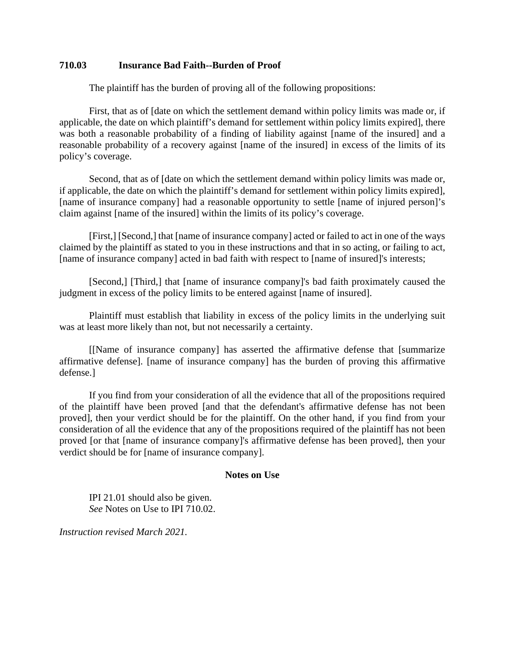## <span id="page-10-0"></span>**710.03 Insurance Bad Faith--Burden of Proof**

The plaintiff has the burden of proving all of the following propositions:

First, that as of [date on which the settlement demand within policy limits was made or, if applicable, the date on which plaintiff's demand for settlement within policy limits expired], there was both a reasonable probability of a finding of liability against [name of the insured] and a reasonable probability of a recovery against [name of the insured] in excess of the limits of its policy's coverage.

Second, that as of [date on which the settlement demand within policy limits was made or, if applicable, the date on which the plaintiff's demand for settlement within policy limits expired], [name of insurance company] had a reasonable opportunity to settle [name of injured person]'s claim against [name of the insured] within the limits of its policy's coverage.

[First,] [Second,] that [name of insurance company] acted or failed to act in one of the ways claimed by the plaintiff as stated to you in these instructions and that in so acting, or failing to act, [name of insurance company] acted in bad faith with respect to [name of insured]'s interests;

[Second,] [Third,] that [name of insurance company]'s bad faith proximately caused the judgment in excess of the policy limits to be entered against [name of insured].

Plaintiff must establish that liability in excess of the policy limits in the underlying suit was at least more likely than not, but not necessarily a certainty.

[[Name of insurance company] has asserted the affirmative defense that [summarize affirmative defense]. [name of insurance company] has the burden of proving this affirmative defense.]

If you find from your consideration of all the evidence that all of the propositions required of the plaintiff have been proved [and that the defendant's affirmative defense has not been proved], then your verdict should be for the plaintiff. On the other hand, if you find from your consideration of all the evidence that any of the propositions required of the plaintiff has not been proved [or that [name of insurance company]'s affirmative defense has been proved], then your verdict should be for [name of insurance company].

#### **Notes on Use**

 IPI 21.01 should also be given. *See* Notes on Use to IPI 710.02.

*Instruction revised March 2021.*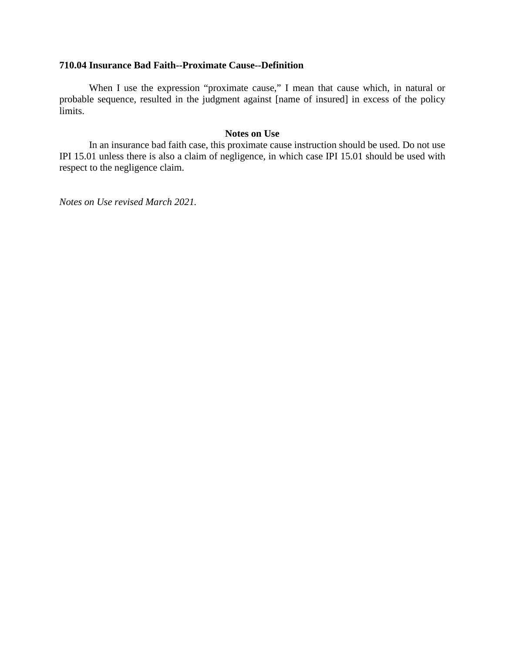### <span id="page-11-0"></span>**710.04 Insurance Bad Faith--Proximate Cause--Definition**

When I use the expression "proximate cause," I mean that cause which, in natural or probable sequence, resulted in the judgment against [name of insured] in excess of the policy limits.

### **Notes on Use**

In an insurance bad faith case, this proximate cause instruction should be used. Do not use IPI 15.01 unless there is also a claim of negligence, in which case IPI 15.01 should be used with respect to the negligence claim.

*Notes on Use revised March 2021.*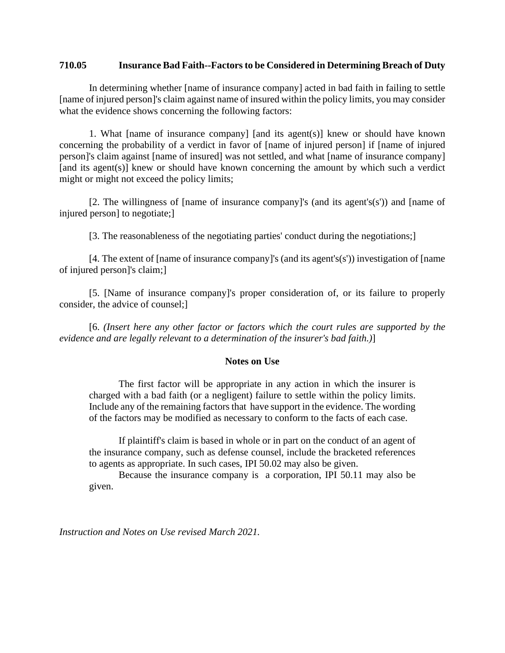## <span id="page-12-0"></span>**710.05 Insurance Bad Faith--Factors to be Considered in Determining Breach of Duty**

 In determining whether [name of insurance company] acted in bad faith in failing to settle [name of injured person]'s claim against name of insured within the policy limits, you may consider what the evidence shows concerning the following factors:

1. What [name of insurance company] [and its agent(s)] knew or should have known concerning the probability of a verdict in favor of [name of injured person] if [name of injured person]'s claim against [name of insured] was not settled, and what [name of insurance company] [and its agent(s)] knew or should have known concerning the amount by which such a verdict might or might not exceed the policy limits;

[2. The willingness of [name of insurance company]'s (and its agent's(s')) and [name of injured person] to negotiate;]

[3. The reasonableness of the negotiating parties' conduct during the negotiations;]

[4. The extent of [name of insurance company]'s (and its agent's(s')) investigation of [name of injured person]'s claim;]

[5. [Name of insurance company]'s proper consideration of, or its failure to properly consider, the advice of counsel;]

 [6. *(Insert here any other factor or factors which the court rules are supported by the evidence and are legally relevant to a determination of the insurer's bad faith.)*]

## **Notes on Use**

The first factor will be appropriate in any action in which the insurer is charged with a bad faith (or a negligent) failure to settle within the policy limits. Include any of the remaining factors that have support in the evidence. The wording of the factors may be modified as necessary to conform to the facts of each case.

If plaintiff's claim is based in whole or in part on the conduct of an agent of the insurance company, such as defense counsel, include the bracketed references to agents as appropriate. In such cases, IPI 50.02 may also be given.

Because the insurance company is a corporation, IPI 50.11 may also be given.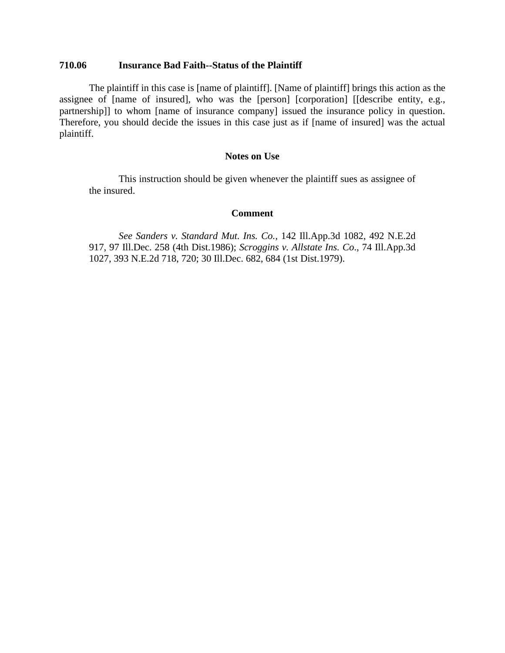### <span id="page-13-0"></span>**710.06 Insurance Bad Faith--Status of the Plaintiff**

The plaintiff in this case is [name of plaintiff]. [Name of plaintiff] brings this action as the assignee of [name of insured], who was the [person] [corporation] [[describe entity, e.g., partnership]] to whom [name of insurance company] issued the insurance policy in question. Therefore, you should decide the issues in this case just as if [name of insured] was the actual plaintiff.

### **Notes on Use**

This instruction should be given whenever the plaintiff sues as assignee of the insured.

## **Comment**

*See Sanders v. Standard Mut. Ins. Co.,* 142 Ill.App.3d 1082, 492 N.E.2d 917, 97 Ill.Dec. 258 (4th Dist.1986); *Scroggins v. Allstate Ins. Co*., 74 Ill.App.3d 1027, 393 N.E.2d 718, 720; 30 Ill.Dec. 682, 684 (1st Dist.1979).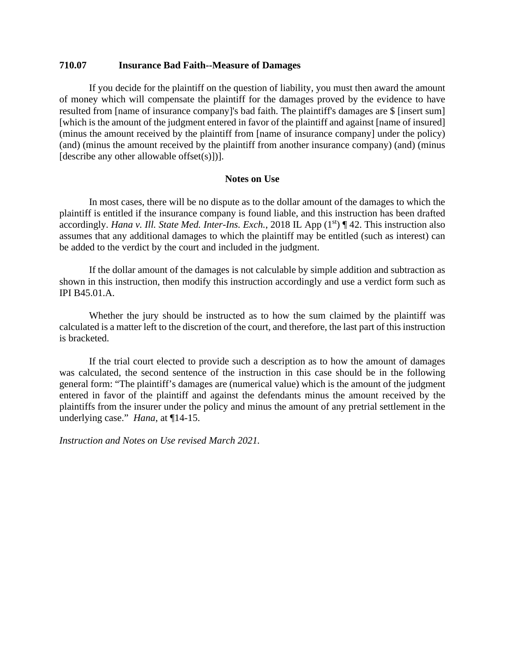#### <span id="page-14-0"></span>**710.07 Insurance Bad Faith--Measure of Damages**

 If you decide for the plaintiff on the question of liability, you must then award the amount of money which will compensate the plaintiff for the damages proved by the evidence to have resulted from [name of insurance company]'s bad faith. The plaintiff's damages are \$ [insert sum] [which is the amount of the judgment entered in favor of the plaintiff and against [name of insured] (minus the amount received by the plaintiff from [name of insurance company] under the policy) (and) (minus the amount received by the plaintiff from another insurance company) (and) (minus [describe any other allowable offset $(s)$ ])].

### **Notes on Use**

In most cases, there will be no dispute as to the dollar amount of the damages to which the plaintiff is entitled if the insurance company is found liable, and this instruction has been drafted accordingly. *Hana v. Ill. State Med. Inter-Ins. Exch.*, 2018 IL App (1<sup>st</sup>) ¶ 42. This instruction also assumes that any additional damages to which the plaintiff may be entitled (such as interest) can be added to the verdict by the court and included in the judgment.

If the dollar amount of the damages is not calculable by simple addition and subtraction as shown in this instruction, then modify this instruction accordingly and use a verdict form such as IPI B45.01.A.

Whether the jury should be instructed as to how the sum claimed by the plaintiff was calculated is a matter left to the discretion of the court, and therefore, the last part of this instruction is bracketed.

If the trial court elected to provide such a description as to how the amount of damages was calculated, the second sentence of the instruction in this case should be in the following general form: "The plaintiff's damages are (numerical value) which is the amount of the judgment entered in favor of the plaintiff and against the defendants minus the amount received by the plaintiffs from the insurer under the policy and minus the amount of any pretrial settlement in the underlying case." *Hana*, at ¶14-15.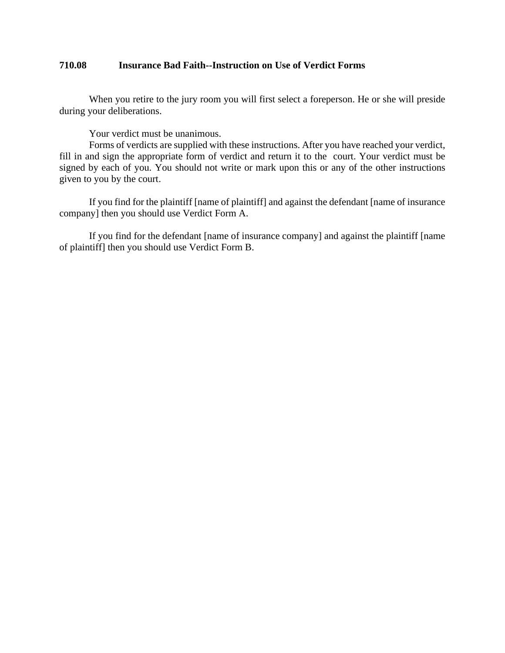## <span id="page-15-0"></span>**710.08 Insurance Bad Faith--Instruction on Use of Verdict Forms**

When you retire to the jury room you will first select a foreperson. He or she will preside during your deliberations.

Your verdict must be unanimous.

Forms of verdicts are supplied with these instructions. After you have reached your verdict, fill in and sign the appropriate form of verdict and return it to the court. Your verdict must be signed by each of you. You should not write or mark upon this or any of the other instructions given to you by the court.

If you find for the plaintiff [name of plaintiff] and against the defendant [name of insurance company] then you should use Verdict Form A.

 If you find for the defendant [name of insurance company] and against the plaintiff [name of plaintiff] then you should use Verdict Form B.